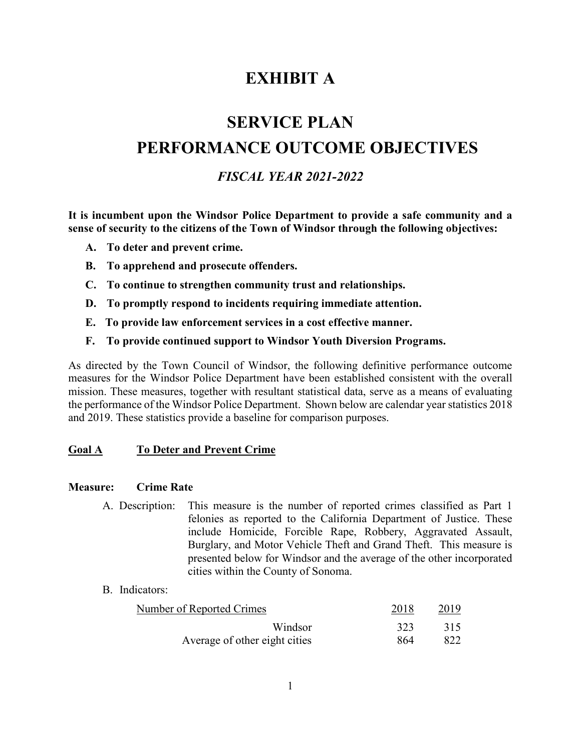# **EXHIBIT A**

# **SERVICE PLAN PERFORMANCE OUTCOME OBJECTIVES**

# *FISCAL YEAR 2021-2022*

**It is incumbent upon the Windsor Police Department to provide a safe community and a sense of security to the citizens of the Town of Windsor through the following objectives:**

- **A. To deter and prevent crime.**
- **B. To apprehend and prosecute offenders.**
- **C. To continue to strengthen community trust and relationships.**
- **D. To promptly respond to incidents requiring immediate attention.**
- **E. To provide law enforcement services in a cost effective manner.**
- **F. To provide continued support to Windsor Youth Diversion Programs.**

As directed by the Town Council of Windsor, the following definitive performance outcome measures for the Windsor Police Department have been established consistent with the overall mission. These measures, together with resultant statistical data, serve as a means of evaluating the performance of the Windsor Police Department. Shown below are calendar year statistics 2018 and 2019. These statistics provide a baseline for comparison purposes.

#### **Goal A To Deter and Prevent Crime**

#### **Measure: Crime Rate**

A. Description: This measure is the number of reported crimes classified as Part 1 felonies as reported to the California Department of Justice. These include Homicide, Forcible Rape, Robbery, Aggravated Assault, Burglary, and Motor Vehicle Theft and Grand Theft. This measure is presented below for Windsor and the average of the other incorporated cities within the County of Sonoma.

#### B. Indicators:

| Number of Reported Crimes     | 2018 | 2019 |
|-------------------------------|------|------|
| Windsor                       | 323  | 315  |
| Average of other eight cities | 864  | 822  |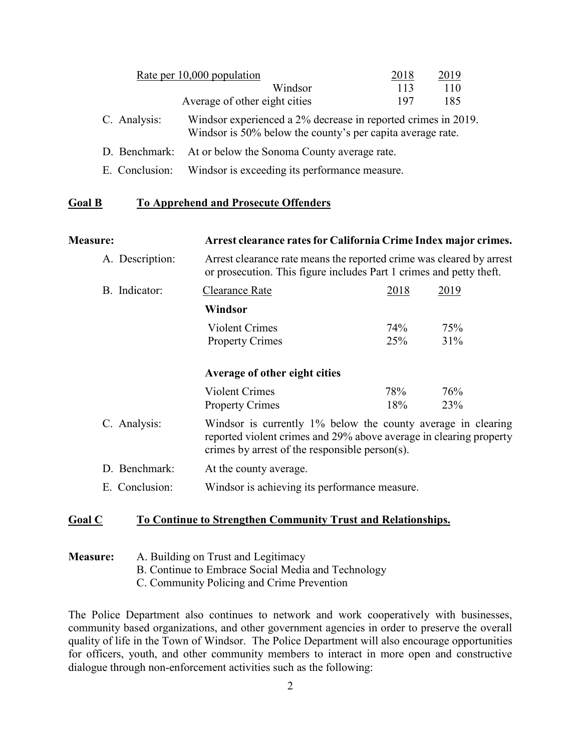|              | Rate per 10,000 population                                                                                                  | 2018 | 2019 |
|--------------|-----------------------------------------------------------------------------------------------------------------------------|------|------|
|              | Windsor                                                                                                                     | 113  | 110  |
|              | Average of other eight cities                                                                                               | 197  | 185  |
| C. Analysis: | Windsor experienced a 2% decrease in reported crimes in 2019.<br>Windsor is 50% below the county's per capita average rate. |      |      |
|              | D. Benchmark: At or below the Sonoma County average rate.                                                                   |      |      |

E. Conclusion: Windsor is exceeding its performance measure.

# **Goal B To Apprehend and Prosecute Offenders**

**Measure: Arrest clearance rates for California Crime Index major crimes.**

| A. Description: | Arrest clearance rate means the reported crime was cleared by arrest<br>or prosecution. This figure includes Part 1 crimes and petty theft.                                          |      |      |  |
|-----------------|--------------------------------------------------------------------------------------------------------------------------------------------------------------------------------------|------|------|--|
| B. Indicator:   | Clearance Rate                                                                                                                                                                       | 2018 | 2019 |  |
|                 | Windsor                                                                                                                                                                              |      |      |  |
|                 | <b>Violent Crimes</b>                                                                                                                                                                | 74%  | 75%  |  |
|                 | <b>Property Crimes</b>                                                                                                                                                               | 25%  | 31%  |  |
|                 | Average of other eight cities                                                                                                                                                        |      |      |  |
|                 | <b>Violent Crimes</b>                                                                                                                                                                | 78%  | 76%  |  |
|                 | <b>Property Crimes</b>                                                                                                                                                               | 18%  | 23%  |  |
| C. Analysis:    | Windsor is currently 1% below the county average in clearing<br>reported violent crimes and 29% above average in clearing property<br>crimes by arrest of the responsible person(s). |      |      |  |
| D. Benchmark:   | At the county average.                                                                                                                                                               |      |      |  |
| E. Conclusion:  | Windsor is achieving its performance measure.                                                                                                                                        |      |      |  |
|                 |                                                                                                                                                                                      |      |      |  |

#### **Goal C To Continue to Strengthen Community Trust and Relationships.**

#### **Measure:** A. Building on Trust and Legitimacy B. Continue to Embrace Social Media and Technology C. Community Policing and Crime Prevention

The Police Department also continues to network and work cooperatively with businesses, community based organizations, and other government agencies in order to preserve the overall quality of life in the Town of Windsor. The Police Department will also encourage opportunities for officers, youth, and other community members to interact in more open and constructive dialogue through non-enforcement activities such as the following: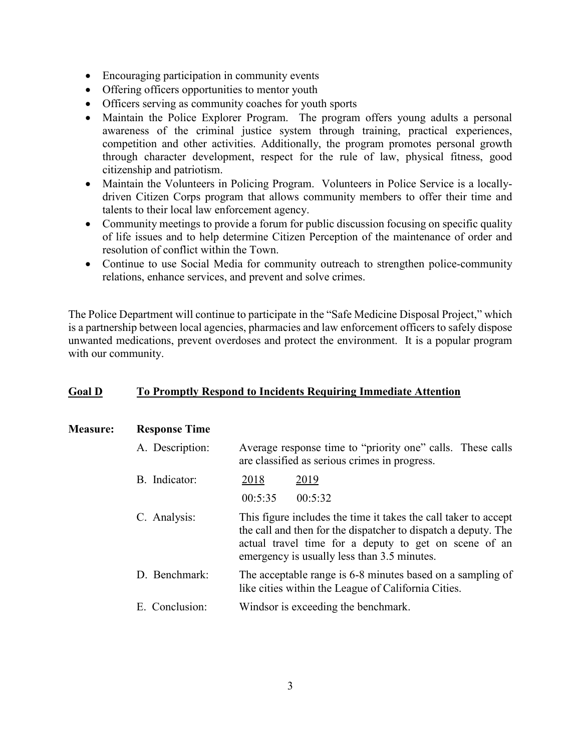- Encouraging participation in community events
- Offering officers opportunities to mentor youth
- Officers serving as community coaches for youth sports
- Maintain the Police Explorer Program. The program offers young adults a personal awareness of the criminal justice system through training, practical experiences, competition and other activities. Additionally, the program promotes personal growth through character development, respect for the rule of law, physical fitness, good citizenship and patriotism.
- Maintain the Volunteers in Policing Program. Volunteers in Police Service is a locallydriven Citizen Corps program that allows community members to offer their time and talents to their local law enforcement agency.
- Community meetings to provide a forum for public discussion focusing on specific quality of life issues and to help determine Citizen Perception of the maintenance of order and resolution of conflict within the Town.
- Continue to use Social Media for community outreach to strengthen police-community relations, enhance services, and prevent and solve crimes.

The Police Department will continue to participate in the "Safe Medicine Disposal Project," which is a partnership between local agencies, pharmacies and law enforcement officers to safely dispose unwanted medications, prevent overdoses and protect the environment. It is a popular program with our community.

#### **Goal D To Promptly Respond to Incidents Requiring Immediate Attention**

| <b>Measure:</b> | <b>Response Time</b> |  |
|-----------------|----------------------|--|
|                 |                      |  |

| A. Description: | Average response time to "priority one" calls. These calls |
|-----------------|------------------------------------------------------------|
|                 | are classified as serious crimes in progress.              |

- B. Indicator: 2018 2019
	- 00:5:35 00:5:32
- C. Analysis: This figure includes the time it takes the call taker to accept the call and then for the dispatcher to dispatch a deputy. The actual travel time for a deputy to get on scene of an emergency is usually less than 3.5 minutes.
- D. Benchmark: The acceptable range is 6-8 minutes based on a sampling of like cities within the League of California Cities.
- E. Conclusion: Windsor is exceeding the benchmark.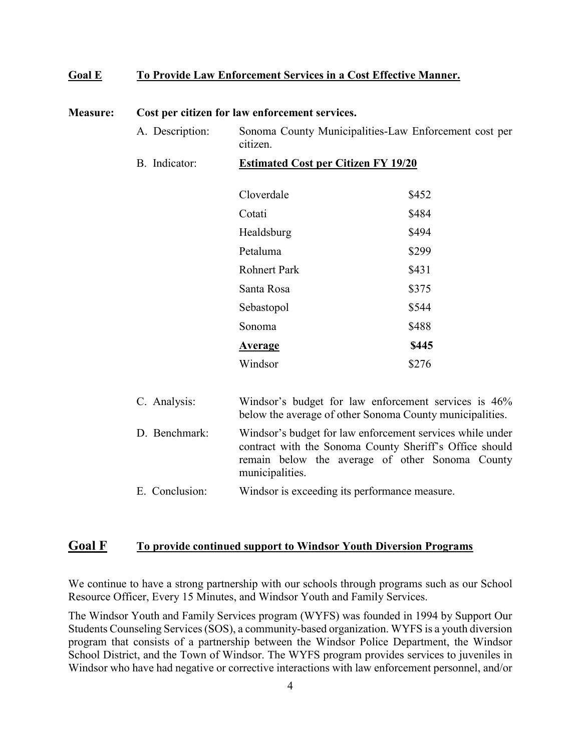#### **Goal E To Provide Law Enforcement Services in a Cost Effective Manner.**

| <b>Measure:</b> | Cost per citizen for law enforcement services. |                                                                                                                                                                                            |                                                                                                                  |  |  |  |
|-----------------|------------------------------------------------|--------------------------------------------------------------------------------------------------------------------------------------------------------------------------------------------|------------------------------------------------------------------------------------------------------------------|--|--|--|
|                 | A. Description:                                | Sonoma County Municipalities-Law Enforcement cost per<br>citizen.                                                                                                                          |                                                                                                                  |  |  |  |
|                 | B. Indicator:                                  | <b>Estimated Cost per Citizen FY 19/20</b>                                                                                                                                                 |                                                                                                                  |  |  |  |
|                 |                                                | Cloverdale                                                                                                                                                                                 | \$452                                                                                                            |  |  |  |
|                 |                                                | Cotati                                                                                                                                                                                     | \$484                                                                                                            |  |  |  |
|                 |                                                | Healdsburg                                                                                                                                                                                 | \$494                                                                                                            |  |  |  |
|                 |                                                | Petaluma                                                                                                                                                                                   | \$299                                                                                                            |  |  |  |
|                 |                                                | <b>Rohnert Park</b>                                                                                                                                                                        | \$431                                                                                                            |  |  |  |
|                 |                                                | Santa Rosa                                                                                                                                                                                 | \$375                                                                                                            |  |  |  |
|                 |                                                | Sebastopol                                                                                                                                                                                 | \$544                                                                                                            |  |  |  |
|                 |                                                | Sonoma                                                                                                                                                                                     | \$488                                                                                                            |  |  |  |
|                 |                                                | <u>Average</u>                                                                                                                                                                             | \$445                                                                                                            |  |  |  |
|                 |                                                | Windsor                                                                                                                                                                                    | \$276                                                                                                            |  |  |  |
|                 | C. Analysis:                                   |                                                                                                                                                                                            | Windsor's budget for law enforcement services is 46%<br>below the average of other Sonoma County municipalities. |  |  |  |
|                 | D. Benchmark:                                  | Windsor's budget for law enforcement services while under<br>contract with the Sonoma County Sheriff's Office should<br>remain below the average of other Sonoma County<br>municipalities. |                                                                                                                  |  |  |  |

#### E. Conclusion: Windsor is exceeding its performance measure.

# **Goal F To provide continued support to Windsor Youth Diversion Programs**

We continue to have a strong partnership with our schools through programs such as our School Resource Officer, Every 15 Minutes, and Windsor Youth and Family Services.

The Windsor Youth and Family Services program (WYFS) was founded in 1994 by Support Our Students Counseling Services(SOS), a community-based organization. WYFS is a youth diversion program that consists of a partnership between the Windsor Police Department, the Windsor School District, and the Town of Windsor. The WYFS program provides services to juveniles in Windsor who have had negative or corrective interactions with law enforcement personnel, and/or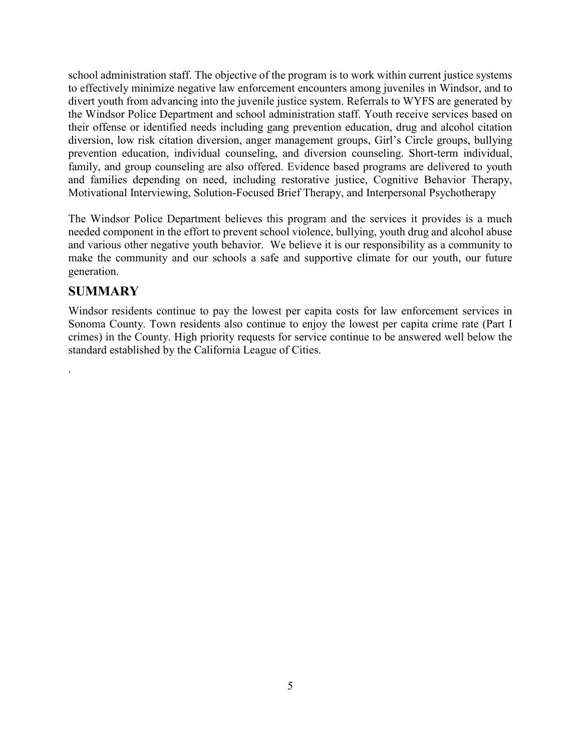school administration staff. The objective of the program is to work within current justice systems to effectively minimize negative law enforcement encounters among juveniles in Windsor, and to divert youth from advancing into the juvenile justice system. Referrals to WYFS are generated by the Windsor Police Department and school administration staff. Youth receive services based on their offense or identified needs including gang prevention education, drug and alcohol citation diversion, low risk citation diversion, anger management groups, Girl's Circle groups, bullying prevention education, individual counseling, and diversion counseling. Short-term individual, family, and group counseling are also offered. Evidence based programs are delivered to youth and families depending on need, including restorative justice, Cognitive Behavior Therapy, Motivational Interviewing, Solution-Focused Brief Therapy, and Interpersonal Psychotherapy

The Windsor Police Department believes this program and the services it provides is a much needed component in the effort to prevent school violence, bullying, youth drug and alcohol abuse and various other negative youth behavior. We believe it is our responsibility as a community to make the community and our schools a safe and supportive climate for our youth, our future generation.

# **SUMMARY**

.

Windsor residents continue to pay the lowest per capita costs for law enforcement services in Sonoma County. Town residents also continue to enjoy the lowest per capita crime rate (Part I crimes) in the County. High priority requests for service continue to be answered well below the standard established by the California League of Cities.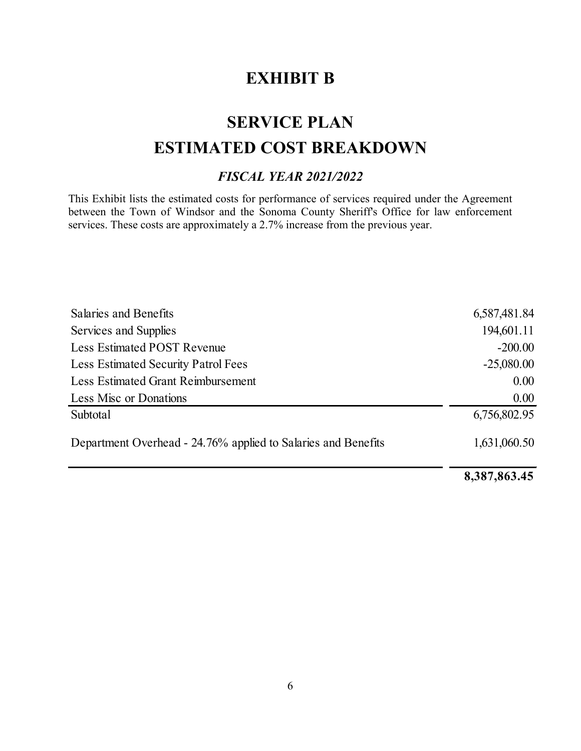# **EXHIBIT B**

# **SERVICE PLAN ESTIMATED COST BREAKDOWN**

# *FISCAL YEAR 2021/2022*

This Exhibit lists the estimated costs for performance of services required under the Agreement between the Town of Windsor and the Sonoma County Sheriff's Office for law enforcement services. These costs are approximately a 2.7% increase from the previous year.

| Salaries and Benefits                                         | 6,587,481.84 |
|---------------------------------------------------------------|--------------|
| Services and Supplies                                         | 194,601.11   |
| <b>Less Estimated POST Revenue</b>                            | $-200.00$    |
| <b>Less Estimated Security Patrol Fees</b>                    | $-25,080.00$ |
| <b>Less Estimated Grant Reimbursement</b>                     | 0.00         |
| Less Misc or Donations                                        | 0.00         |
| Subtotal                                                      | 6,756,802.95 |
| Department Overhead - 24.76% applied to Salaries and Benefits | 1,631,060.50 |
|                                                               |              |

**8,387,863.45**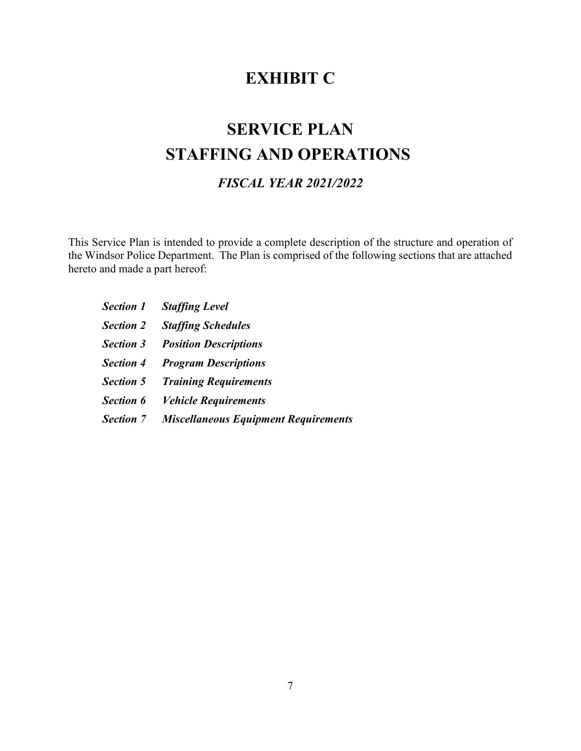# **EXHIBIT C**

# **SERVICE PLAN STAFFING AND OPERATIONS**

# *FISCAL YEAR 2021/2022*

This Service Plan is intended to provide a complete description of the structure and operation of the Windsor Police Department. The Plan is comprised of the following sections that are attached hereto and made a part hereof:

|                  | <b>Section 1</b> Staffing Level                       |
|------------------|-------------------------------------------------------|
| <b>Section 2</b> | <b>Staffing Schedules</b>                             |
| <b>Section 3</b> | <b>Position Descriptions</b>                          |
|                  | <b>Section 4</b> Program Descriptions                 |
|                  | <b>Section 5 Training Requirements</b>                |
|                  | <b>Section 6</b> Vehicle Requirements                 |
|                  | <b>Section 7</b> Miscellaneous Equipment Requirements |
|                  |                                                       |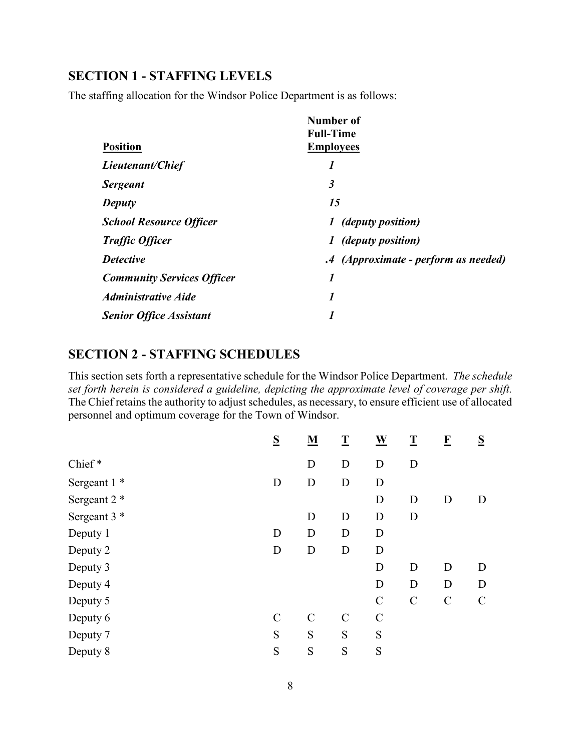# **SECTION 1 - STAFFING LEVELS**

The staffing allocation for the Windsor Police Department is as follows:

|                                   | Number of<br><b>Full-Time</b>                |
|-----------------------------------|----------------------------------------------|
| <b>Position</b>                   | <b>Employees</b>                             |
| Lieutenant/Chief                  | 1                                            |
| <b>Sergeant</b>                   | $\boldsymbol{\beta}$                         |
| <b>Deputy</b>                     | 15                                           |
| <b>School Resource Officer</b>    | <i>(deputy position)</i><br>$\boldsymbol{I}$ |
| <b>Traffic Officer</b>            | <i>(deputy position)</i><br>1                |
| <b>Detective</b>                  | .4 (Approximate - perform as needed)         |
| <b>Community Services Officer</b> | $\boldsymbol{l}$                             |
| <b>Administrative Aide</b>        | 1                                            |
| <b>Senior Office Assistant</b>    |                                              |

### **SECTION 2 - STAFFING SCHEDULES**

This section sets forth a representative schedule for the Windsor Police Department. *The schedule set forth herein is considered a guideline, depicting the approximate level of coverage per shift.* The Chief retains the authority to adjust schedules, as necessary, to ensure efficient use of allocated personnel and optimum coverage for the Town of Windsor.

|              | S            | ${\bf M}$     | $\overline{\mathbf{I}}$ | $\underline{\mathbf{W}}$ | $\overline{\mathbf{I}}$ | $\mathbf{F}$  | S           |
|--------------|--------------|---------------|-------------------------|--------------------------|-------------------------|---------------|-------------|
| Chief*       |              | D             | D                       | D                        | D                       |               |             |
| Sergeant 1 * | D            | D             | D                       | D                        |                         |               |             |
| Sergeant 2 * |              |               |                         | D                        | D                       | D             | D           |
| Sergeant 3 * |              | D             | D                       | D                        | D                       |               |             |
| Deputy 1     | D            | D             | D                       | D                        |                         |               |             |
| Deputy 2     | D            | D             | D                       | D                        |                         |               |             |
| Deputy 3     |              |               |                         | D                        | D                       | D             | D           |
| Deputy 4     |              |               |                         | D                        | D                       | D             | D           |
| Deputy 5     |              |               |                         | $\mathbf C$              | $\mathsf{C}$            | $\mathcal{C}$ | $\mathbf C$ |
| Deputy 6     | $\mathsf{C}$ | $\mathcal{C}$ | $\mathcal{C}$           | $\mathbf C$              |                         |               |             |
| Deputy 7     | S            | S             | S                       | S                        |                         |               |             |
| Deputy 8     | S            | S             | S                       | S                        |                         |               |             |
|              |              |               |                         |                          |                         |               |             |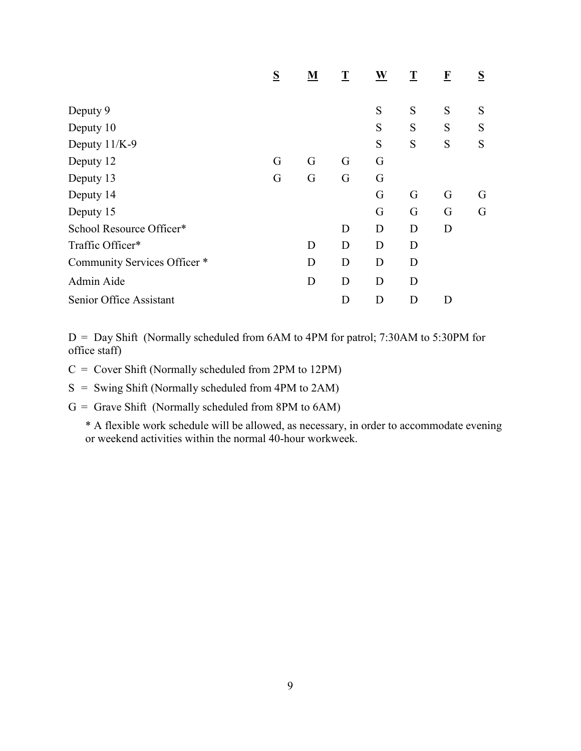|                              | S | M | T | W | T | $\mathbf{F}$ | $S_{\parallel}$ |
|------------------------------|---|---|---|---|---|--------------|-----------------|
|                              |   |   |   |   |   |              |                 |
| Deputy 9                     |   |   |   | S | S | S            | S               |
| Deputy 10                    |   |   |   | S | S | S            | S               |
| Deputy 11/K-9                |   |   |   | S | S | S            | S               |
| Deputy 12                    | G | G | G | G |   |              |                 |
| Deputy 13                    | G | G | G | G |   |              |                 |
| Deputy 14                    |   |   |   | G | G | G            | G               |
| Deputy 15                    |   |   |   | G | G | G            | G               |
| School Resource Officer*     |   |   | D | D | D | D            |                 |
| Traffic Officer*             |   | D | D | D | D |              |                 |
| Community Services Officer * |   | D | D | D | D |              |                 |
| Admin Aide                   |   | D | D | D | D |              |                 |
| Senior Office Assistant      |   |   | D | D | D | D            |                 |

D = Day Shift (Normally scheduled from 6AM to 4PM for patrol; 7:30AM to 5:30PM for office staff)

C = Cover Shift (Normally scheduled from 2PM to 12PM)

S = Swing Shift (Normally scheduled from 4PM to 2AM)

 $G =$  Grave Shift (Normally scheduled from 8PM to 6AM)

\* A flexible work schedule will be allowed, as necessary, in order to accommodate evening or weekend activities within the normal 40-hour workweek.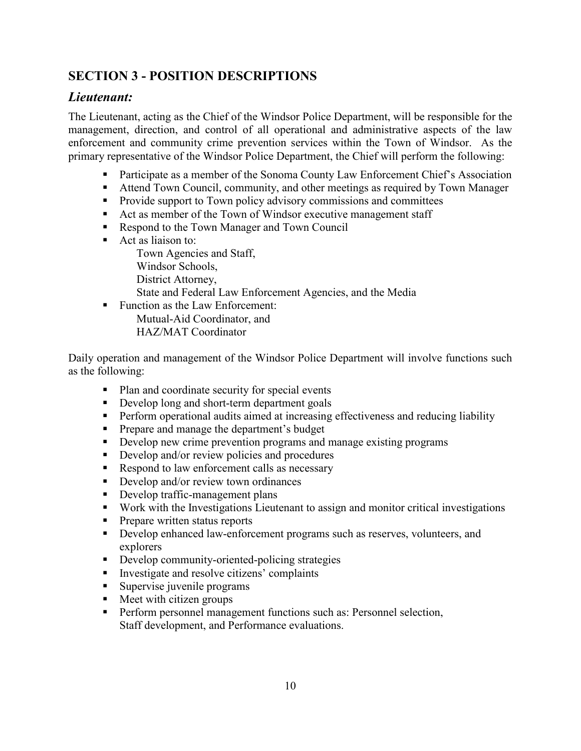# **SECTION 3 - POSITION DESCRIPTIONS**

# *Lieutenant:*

The Lieutenant, acting as the Chief of the Windsor Police Department, will be responsible for the management, direction, and control of all operational and administrative aspects of the law enforcement and community crime prevention services within the Town of Windsor. As the primary representative of the Windsor Police Department, the Chief will perform the following:

- Participate as a member of the Sonoma County Law Enforcement Chief's Association
- Attend Town Council, community, and other meetings as required by Town Manager
- **Provide support to Town policy advisory commissions and committees**
- Act as member of the Town of Windsor executive management staff
- Respond to the Town Manager and Town Council
- Act as liaison to:
	- Town Agencies and Staff,
	- Windsor Schools,
	- District Attorney,
	- State and Federal Law Enforcement Agencies, and the Media
- Function as the Law Enforcement: Mutual-Aid Coordinator, and HAZ/MAT Coordinator

Daily operation and management of the Windsor Police Department will involve functions such as the following:

- Plan and coordinate security for special events
- Develop long and short-term department goals
- **Perform operational audits aimed at increasing effectiveness and reducing liability**
- **Prepare and manage the department's budget**
- Develop new crime prevention programs and manage existing programs
- Develop and/or review policies and procedures
- Respond to law enforcement calls as necessary
- Develop and/or review town ordinances
- Develop traffic-management plans
- Work with the Investigations Lieutenant to assign and monitor critical investigations
- **Prepare written status reports**
- Develop enhanced law-enforcement programs such as reserves, volunteers, and explorers
- Develop community-oriented-policing strategies
- Investigate and resolve citizens' complaints
- **Supervise juvenile programs**
- Meet with citizen groups
- **Perform personnel management functions such as: Personnel selection,** Staff development, and Performance evaluations.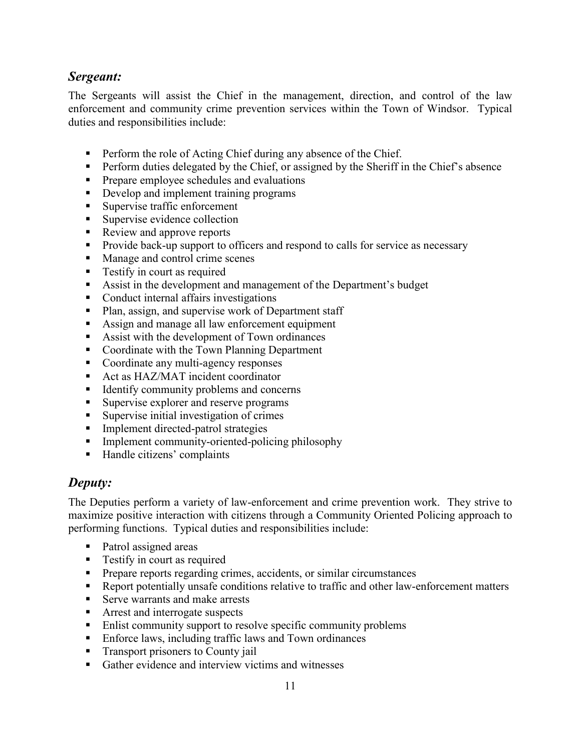# *Sergeant:*

The Sergeants will assist the Chief in the management, direction, and control of the law enforcement and community crime prevention services within the Town of Windsor. Typical duties and responsibilities include:

- **Perform the role of Acting Chief during any absence of the Chief.**
- **Perform duties delegated by the Chief, or assigned by the Sheriff in the Chief's absence**
- **Prepare employee schedules and evaluations**
- Develop and implement training programs
- Supervise traffic enforcement
- Supervise evidence collection
- Review and approve reports
- **Provide back-up support to officers and respond to calls for service as necessary**
- Manage and control crime scenes
- **Testify in court as required**
- Assist in the development and management of the Department's budget
- Conduct internal affairs investigations
- Plan, assign, and supervise work of Department staff
- Assign and manage all law enforcement equipment
- Assist with the development of Town ordinances
- Coordinate with the Town Planning Department
- Coordinate any multi-agency responses
- Act as HAZ/MAT incident coordinator
- $\blacksquare$  Identify community problems and concerns
- **Supervise explorer and reserve programs**
- Supervise initial investigation of crimes
- **Implement directed-patrol strategies**
- **Implement community-oriented-policing philosophy**
- Handle citizens' complaints

### *Deputy:*

The Deputies perform a variety of law-enforcement and crime prevention work. They strive to maximize positive interaction with citizens through a Community Oriented Policing approach to performing functions. Typical duties and responsibilities include:

- Patrol assigned areas
- **Testify in court as required**
- **Prepare reports regarding crimes, accidents, or similar circumstances**
- Report potentially unsafe conditions relative to traffic and other law-enforcement matters
- Serve warrants and make arrests
- **Arrest and interrogate suspects**
- **Enlist community support to resolve specific community problems**
- **Enforce laws, including traffic laws and Town ordinances**
- **Transport prisoners to County jail**
- Gather evidence and interview victims and witnesses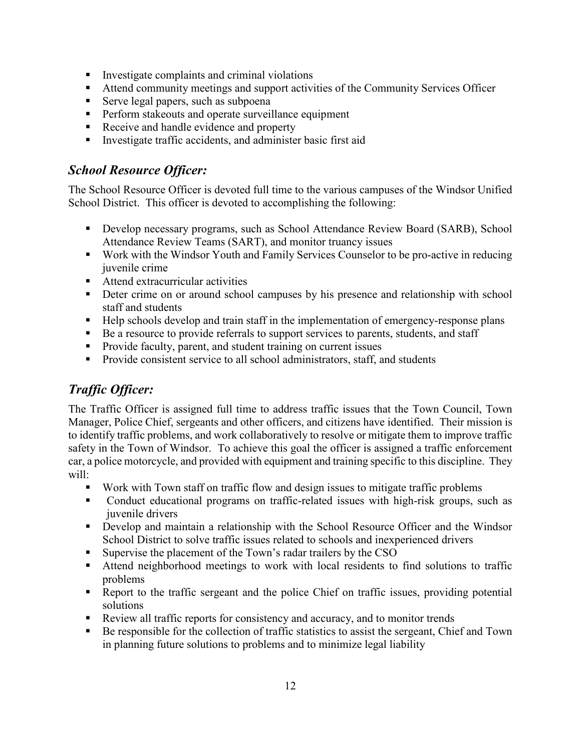- **Investigate complaints and criminal violations**
- Attend community meetings and support activities of the Community Services Officer
- Serve legal papers, such as subpoena
- **Perform stakeouts and operate surveillance equipment**
- Receive and handle evidence and property
- **Investigate traffic accidents, and administer basic first aid**

### *School Resource Officer:*

The School Resource Officer is devoted full time to the various campuses of the Windsor Unified School District. This officer is devoted to accomplishing the following:

- **Develop necessary programs, such as School Attendance Review Board (SARB), School** Attendance Review Teams (SART), and monitor truancy issues
- Work with the Windsor Youth and Family Services Counselor to be pro-active in reducing juvenile crime
- Attend extracurricular activities
- **•** Deter crime on or around school campuses by his presence and relationship with school staff and students
- Help schools develop and train staff in the implementation of emergency-response plans
- Be a resource to provide referrals to support services to parents, students, and staff
- Provide faculty, parent, and student training on current issues
- **Provide consistent service to all school administrators, staff, and students**

# *Traffic Officer:*

The Traffic Officer is assigned full time to address traffic issues that the Town Council, Town Manager, Police Chief, sergeants and other officers, and citizens have identified. Their mission is to identify traffic problems, and work collaboratively to resolve or mitigate them to improve traffic safety in the Town of Windsor. To achieve this goal the officer is assigned a traffic enforcement car, a police motorcycle, and provided with equipment and training specific to this discipline. They will:

- Work with Town staff on traffic flow and design issues to mitigate traffic problems
- Conduct educational programs on traffic-related issues with high-risk groups, such as juvenile drivers
- Develop and maintain a relationship with the School Resource Officer and the Windsor School District to solve traffic issues related to schools and inexperienced drivers
- **Supervise the placement of the Town's radar trailers by the CSO**
- Attend neighborhood meetings to work with local residents to find solutions to traffic problems
- Report to the traffic sergeant and the police Chief on traffic issues, providing potential solutions
- Review all traffic reports for consistency and accuracy, and to monitor trends
- Be responsible for the collection of traffic statistics to assist the sergeant, Chief and Town in planning future solutions to problems and to minimize legal liability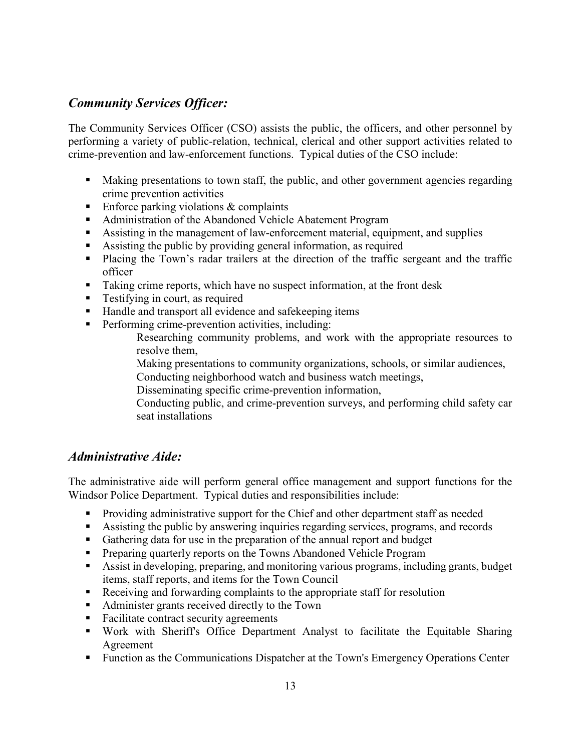# *Community Services Officer:*

The Community Services Officer (CSO) assists the public, the officers, and other personnel by performing a variety of public-relation, technical, clerical and other support activities related to crime-prevention and law-enforcement functions. Typical duties of the CSO include:

- Making presentations to town staff, the public, and other government agencies regarding crime prevention activities
- Enforce parking violations  $&$  complaints
- Administration of the Abandoned Vehicle Abatement Program
- Assisting in the management of law-enforcement material, equipment, and supplies
- Assisting the public by providing general information, as required
- Placing the Town's radar trailers at the direction of the traffic sergeant and the traffic officer
- Taking crime reports, which have no suspect information, at the front desk
- **Testifying in court, as required**
- Handle and transport all evidence and safekeeping items
- **Performing crime-prevention activities, including:**

Researching community problems, and work with the appropriate resources to resolve them,

Making presentations to community organizations, schools, or similar audiences,

- Conducting neighborhood watch and business watch meetings,
- Disseminating specific crime-prevention information,

Conducting public, and crime-prevention surveys, and performing child safety car seat installations

#### *Administrative Aide:*

The administrative aide will perform general office management and support functions for the Windsor Police Department. Typical duties and responsibilities include:

- **Providing administrative support for the Chief and other department staff as needed**
- Assisting the public by answering inquiries regarding services, programs, and records
- Gathering data for use in the preparation of the annual report and budget
- **Preparing quarterly reports on the Towns Abandoned Vehicle Program**
- Assist in developing, preparing, and monitoring various programs, including grants, budget items, staff reports, and items for the Town Council
- Receiving and forwarding complaints to the appropriate staff for resolution
- Administer grants received directly to the Town
- Facilitate contract security agreements
- Work with Sheriff's Office Department Analyst to facilitate the Equitable Sharing Agreement
- **Function as the Communications Dispatcher at the Town's Emergency Operations Center**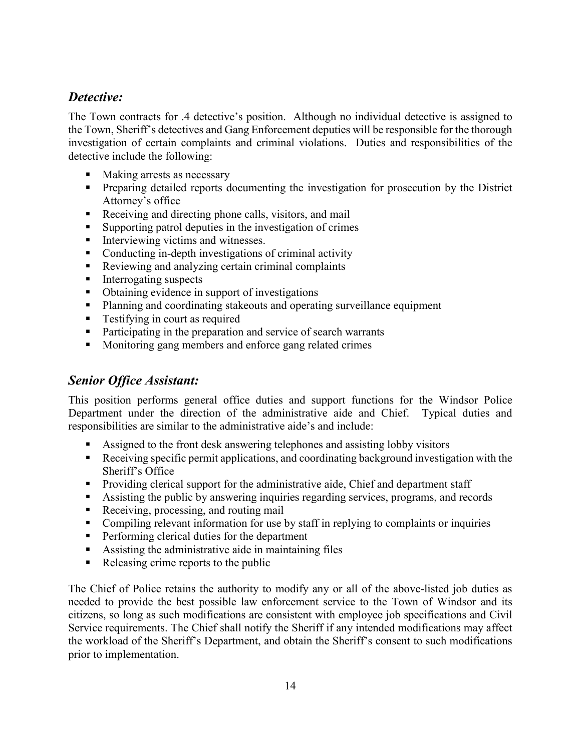# *Detective:*

The Town contracts for .4 detective's position. Although no individual detective is assigned to the Town, Sheriff's detectives and Gang Enforcement deputies will be responsible for the thorough investigation of certain complaints and criminal violations. Duties and responsibilities of the detective include the following:

- Making arrests as necessary
- **Preparing detailed reports documenting the investigation for prosecution by the District** Attorney's office
- Receiving and directing phone calls, visitors, and mail
- Supporting patrol deputies in the investigation of crimes
- $\blacksquare$  Interviewing victims and witnesses.
- Conducting in-depth investigations of criminal activity
- Reviewing and analyzing certain criminal complaints
- Interrogating suspects
- Obtaining evidence in support of investigations
- Planning and coordinating stakeouts and operating surveillance equipment
- **Testifying in court as required**
- Participating in the preparation and service of search warrants
- **Monitoring gang members and enforce gang related crimes**

### *Senior Office Assistant:*

This position performs general office duties and support functions for the Windsor Police Department under the direction of the administrative aide and Chief. Typical duties and responsibilities are similar to the administrative aide's and include:

- Assigned to the front desk answering telephones and assisting lobby visitors
- Receiving specific permit applications, and coordinating background investigation with the Sheriff's Office
- **Providing clerical support for the administrative aide, Chief and department staff**
- Assisting the public by answering inquiries regarding services, programs, and records
- Receiving, processing, and routing mail
- Compiling relevant information for use by staff in replying to complaints or inquiries
- **Performing clerical duties for the department**
- Assisting the administrative aide in maintaining files
- Releasing crime reports to the public

The Chief of Police retains the authority to modify any or all of the above-listed job duties as needed to provide the best possible law enforcement service to the Town of Windsor and its citizens, so long as such modifications are consistent with employee job specifications and Civil Service requirements. The Chief shall notify the Sheriff if any intended modifications may affect the workload of the Sheriff's Department, and obtain the Sheriff's consent to such modifications prior to implementation.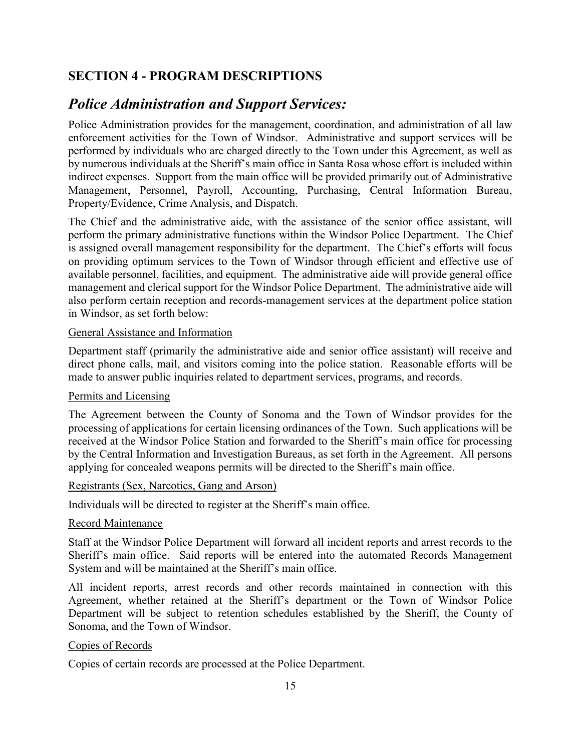# **SECTION 4 - PROGRAM DESCRIPTIONS**

# *Police Administration and Support Services:*

Police Administration provides for the management, coordination, and administration of all law enforcement activities for the Town of Windsor. Administrative and support services will be performed by individuals who are charged directly to the Town under this Agreement, as well as by numerous individuals at the Sheriff's main office in Santa Rosa whose effort is included within indirect expenses. Support from the main office will be provided primarily out of Administrative Management, Personnel, Payroll, Accounting, Purchasing, Central Information Bureau, Property/Evidence, Crime Analysis, and Dispatch.

The Chief and the administrative aide, with the assistance of the senior office assistant, will perform the primary administrative functions within the Windsor Police Department. The Chief is assigned overall management responsibility for the department. The Chief's efforts will focus on providing optimum services to the Town of Windsor through efficient and effective use of available personnel, facilities, and equipment. The administrative aide will provide general office management and clerical support for the Windsor Police Department. The administrative aide will also perform certain reception and records-management services at the department police station in Windsor, as set forth below:

#### General Assistance and Information

Department staff (primarily the administrative aide and senior office assistant) will receive and direct phone calls, mail, and visitors coming into the police station. Reasonable efforts will be made to answer public inquiries related to department services, programs, and records.

#### Permits and Licensing

The Agreement between the County of Sonoma and the Town of Windsor provides for the processing of applications for certain licensing ordinances of the Town. Such applications will be received at the Windsor Police Station and forwarded to the Sheriff's main office for processing by the Central Information and Investigation Bureaus, as set forth in the Agreement. All persons applying for concealed weapons permits will be directed to the Sheriff's main office.

#### Registrants (Sex, Narcotics, Gang and Arson)

Individuals will be directed to register at the Sheriff's main office.

#### Record Maintenance

Staff at the Windsor Police Department will forward all incident reports and arrest records to the Sheriff's main office. Said reports will be entered into the automated Records Management System and will be maintained at the Sheriff's main office.

All incident reports, arrest records and other records maintained in connection with this Agreement, whether retained at the Sheriff's department or the Town of Windsor Police Department will be subject to retention schedules established by the Sheriff, the County of Sonoma, and the Town of Windsor.

#### Copies of Records

Copies of certain records are processed at the Police Department.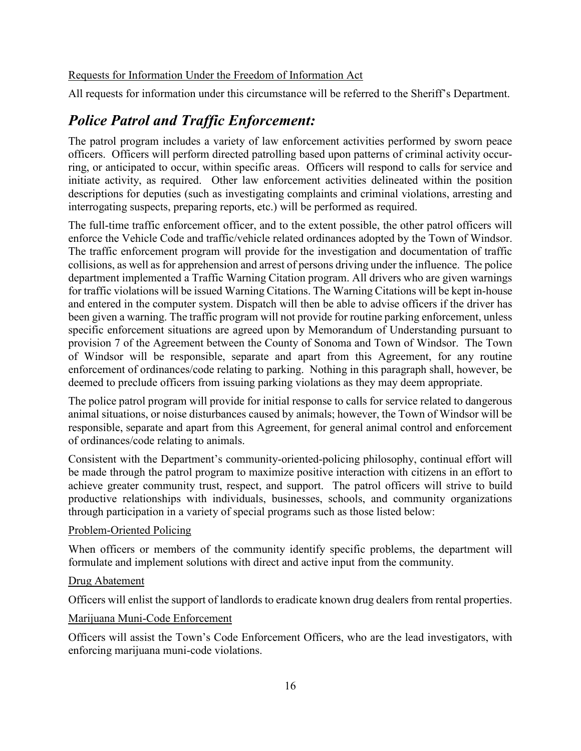#### Requests for Information Under the Freedom of Information Act

All requests for information under this circumstance will be referred to the Sheriff's Department.

# *Police Patrol and Traffic Enforcement:*

The patrol program includes a variety of law enforcement activities performed by sworn peace officers. Officers will perform directed patrolling based upon patterns of criminal activity occurring, or anticipated to occur, within specific areas. Officers will respond to calls for service and initiate activity, as required. Other law enforcement activities delineated within the position descriptions for deputies (such as investigating complaints and criminal violations, arresting and interrogating suspects, preparing reports, etc.) will be performed as required.

The full-time traffic enforcement officer, and to the extent possible, the other patrol officers will enforce the Vehicle Code and traffic/vehicle related ordinances adopted by the Town of Windsor. The traffic enforcement program will provide for the investigation and documentation of traffic collisions, as well as for apprehension and arrest of persons driving under the influence. The police department implemented a Traffic Warning Citation program. All drivers who are given warnings for traffic violations will be issued Warning Citations. The Warning Citations will be kept in-house and entered in the computer system. Dispatch will then be able to advise officers if the driver has been given a warning. The traffic program will not provide for routine parking enforcement, unless specific enforcement situations are agreed upon by Memorandum of Understanding pursuant to provision 7 of the Agreement between the County of Sonoma and Town of Windsor. The Town of Windsor will be responsible, separate and apart from this Agreement, for any routine enforcement of ordinances/code relating to parking. Nothing in this paragraph shall, however, be deemed to preclude officers from issuing parking violations as they may deem appropriate.

The police patrol program will provide for initial response to calls for service related to dangerous animal situations, or noise disturbances caused by animals; however, the Town of Windsor will be responsible, separate and apart from this Agreement, for general animal control and enforcement of ordinances/code relating to animals.

Consistent with the Department's community-oriented-policing philosophy, continual effort will be made through the patrol program to maximize positive interaction with citizens in an effort to achieve greater community trust, respect, and support. The patrol officers will strive to build productive relationships with individuals, businesses, schools, and community organizations through participation in a variety of special programs such as those listed below:

#### Problem-Oriented Policing

When officers or members of the community identify specific problems, the department will formulate and implement solutions with direct and active input from the community.

#### Drug Abatement

Officers will enlist the support of landlords to eradicate known drug dealers from rental properties.

#### Marijuana Muni-Code Enforcement

Officers will assist the Town's Code Enforcement Officers, who are the lead investigators, with enforcing marijuana muni-code violations.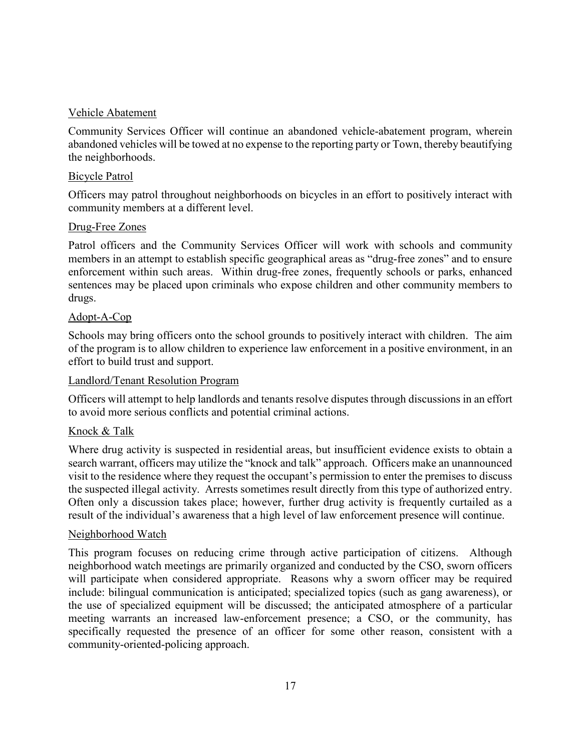#### Vehicle Abatement

Community Services Officer will continue an abandoned vehicle-abatement program, wherein abandoned vehicles will be towed at no expense to the reporting party or Town, thereby beautifying the neighborhoods.

#### Bicycle Patrol

Officers may patrol throughout neighborhoods on bicycles in an effort to positively interact with community members at a different level.

#### Drug-Free Zones

Patrol officers and the Community Services Officer will work with schools and community members in an attempt to establish specific geographical areas as "drug-free zones" and to ensure enforcement within such areas. Within drug-free zones, frequently schools or parks, enhanced sentences may be placed upon criminals who expose children and other community members to drugs.

#### Adopt-A-Cop

Schools may bring officers onto the school grounds to positively interact with children. The aim of the program is to allow children to experience law enforcement in a positive environment, in an effort to build trust and support.

#### Landlord/Tenant Resolution Program

Officers will attempt to help landlords and tenants resolve disputes through discussions in an effort to avoid more serious conflicts and potential criminal actions.

#### Knock & Talk

Where drug activity is suspected in residential areas, but insufficient evidence exists to obtain a search warrant, officers may utilize the "knock and talk" approach. Officers make an unannounced visit to the residence where they request the occupant's permission to enter the premises to discuss the suspected illegal activity. Arrests sometimes result directly from this type of authorized entry. Often only a discussion takes place; however, further drug activity is frequently curtailed as a result of the individual's awareness that a high level of law enforcement presence will continue.

#### Neighborhood Watch

This program focuses on reducing crime through active participation of citizens. Although neighborhood watch meetings are primarily organized and conducted by the CSO, sworn officers will participate when considered appropriate. Reasons why a sworn officer may be required include: bilingual communication is anticipated; specialized topics (such as gang awareness), or the use of specialized equipment will be discussed; the anticipated atmosphere of a particular meeting warrants an increased law-enforcement presence; a CSO, or the community, has specifically requested the presence of an officer for some other reason, consistent with a community-oriented-policing approach.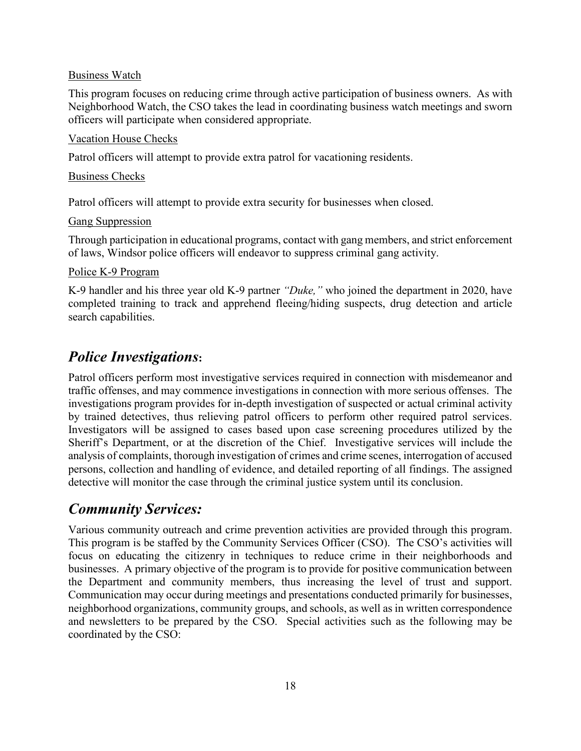#### Business Watch

This program focuses on reducing crime through active participation of business owners. As with Neighborhood Watch, the CSO takes the lead in coordinating business watch meetings and sworn officers will participate when considered appropriate.

#### Vacation House Checks

Patrol officers will attempt to provide extra patrol for vacationing residents.

#### Business Checks

Patrol officers will attempt to provide extra security for businesses when closed.

#### Gang Suppression

Through participation in educational programs, contact with gang members, and strict enforcement of laws, Windsor police officers will endeavor to suppress criminal gang activity.

#### Police K-9 Program

K-9 handler and his three year old K-9 partner *"Duke,"* who joined the department in 2020, have completed training to track and apprehend fleeing/hiding suspects, drug detection and article search capabilities.

# *Police Investigations***:**

Patrol officers perform most investigative services required in connection with misdemeanor and traffic offenses, and may commence investigations in connection with more serious offenses. The investigations program provides for in-depth investigation of suspected or actual criminal activity by trained detectives, thus relieving patrol officers to perform other required patrol services. Investigators will be assigned to cases based upon case screening procedures utilized by the Sheriff's Department, or at the discretion of the Chief. Investigative services will include the analysis of complaints, thorough investigation of crimes and crime scenes, interrogation of accused persons, collection and handling of evidence, and detailed reporting of all findings. The assigned detective will monitor the case through the criminal justice system until its conclusion.

# *Community Services:*

Various community outreach and crime prevention activities are provided through this program. This program is be staffed by the Community Services Officer (CSO). The CSO's activities will focus on educating the citizenry in techniques to reduce crime in their neighborhoods and businesses. A primary objective of the program is to provide for positive communication between the Department and community members, thus increasing the level of trust and support. Communication may occur during meetings and presentations conducted primarily for businesses, neighborhood organizations, community groups, and schools, as well as in written correspondence and newsletters to be prepared by the CSO. Special activities such as the following may be coordinated by the CSO: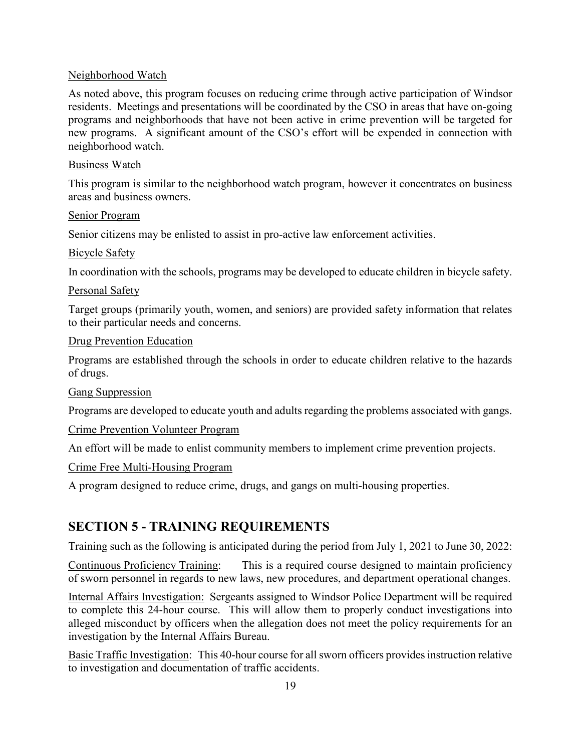#### Neighborhood Watch

As noted above, this program focuses on reducing crime through active participation of Windsor residents. Meetings and presentations will be coordinated by the CSO in areas that have on-going programs and neighborhoods that have not been active in crime prevention will be targeted for new programs. A significant amount of the CSO's effort will be expended in connection with neighborhood watch.

#### Business Watch

This program is similar to the neighborhood watch program, however it concentrates on business areas and business owners.

#### Senior Program

Senior citizens may be enlisted to assist in pro-active law enforcement activities.

#### Bicycle Safety

In coordination with the schools, programs may be developed to educate children in bicycle safety.

#### Personal Safety

Target groups (primarily youth, women, and seniors) are provided safety information that relates to their particular needs and concerns.

#### Drug Prevention Education

Programs are established through the schools in order to educate children relative to the hazards of drugs.

#### Gang Suppression

Programs are developed to educate youth and adults regarding the problems associated with gangs.

#### Crime Prevention Volunteer Program

An effort will be made to enlist community members to implement crime prevention projects.

#### Crime Free Multi-Housing Program

A program designed to reduce crime, drugs, and gangs on multi-housing properties.

# **SECTION 5 - TRAINING REQUIREMENTS**

Training such as the following is anticipated during the period from July 1, 2021 to June 30, 2022:

Continuous Proficiency Training: This is a required course designed to maintain proficiency of sworn personnel in regards to new laws, new procedures, and department operational changes.

Internal Affairs Investigation: Sergeants assigned to Windsor Police Department will be required to complete this 24-hour course. This will allow them to properly conduct investigations into alleged misconduct by officers when the allegation does not meet the policy requirements for an investigation by the Internal Affairs Bureau.

Basic Traffic Investigation: This 40-hour course for all sworn officers provides instruction relative to investigation and documentation of traffic accidents.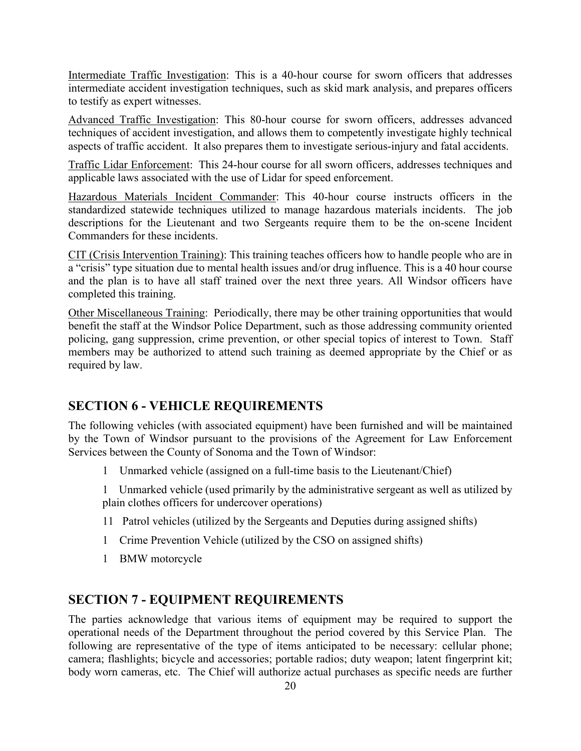Intermediate Traffic Investigation: This is a 40-hour course for sworn officers that addresses intermediate accident investigation techniques, such as skid mark analysis, and prepares officers to testify as expert witnesses.

Advanced Traffic Investigation: This 80-hour course for sworn officers, addresses advanced techniques of accident investigation, and allows them to competently investigate highly technical aspects of traffic accident. It also prepares them to investigate serious-injury and fatal accidents.

Traffic Lidar Enforcement: This 24-hour course for all sworn officers, addresses techniques and applicable laws associated with the use of Lidar for speed enforcement.

Hazardous Materials Incident Commander: This 40-hour course instructs officers in the standardized statewide techniques utilized to manage hazardous materials incidents. The job descriptions for the Lieutenant and two Sergeants require them to be the on-scene Incident Commanders for these incidents.

CIT (Crisis Intervention Training): This training teaches officers how to handle people who are in a "crisis" type situation due to mental health issues and/or drug influence. This is a 40 hour course and the plan is to have all staff trained over the next three years. All Windsor officers have completed this training.

Other Miscellaneous Training: Periodically, there may be other training opportunities that would benefit the staff at the Windsor Police Department, such as those addressing community oriented policing, gang suppression, crime prevention, or other special topics of interest to Town. Staff members may be authorized to attend such training as deemed appropriate by the Chief or as required by law.

#### **SECTION 6 - VEHICLE REQUIREMENTS**

The following vehicles (with associated equipment) have been furnished and will be maintained by the Town of Windsor pursuant to the provisions of the Agreement for Law Enforcement Services between the County of Sonoma and the Town of Windsor:

1 Unmarked vehicle (assigned on a full-time basis to the Lieutenant/Chief)

1 Unmarked vehicle (used primarily by the administrative sergeant as well as utilized by plain clothes officers for undercover operations)

- 11 Patrol vehicles (utilized by the Sergeants and Deputies during assigned shifts)
- 1 Crime Prevention Vehicle (utilized by the CSO on assigned shifts)
- 1 BMW motorcycle

### **SECTION 7 - EQUIPMENT REQUIREMENTS**

The parties acknowledge that various items of equipment may be required to support the operational needs of the Department throughout the period covered by this Service Plan. The following are representative of the type of items anticipated to be necessary: cellular phone; camera; flashlights; bicycle and accessories; portable radios; duty weapon; latent fingerprint kit; body worn cameras, etc. The Chief will authorize actual purchases as specific needs are further